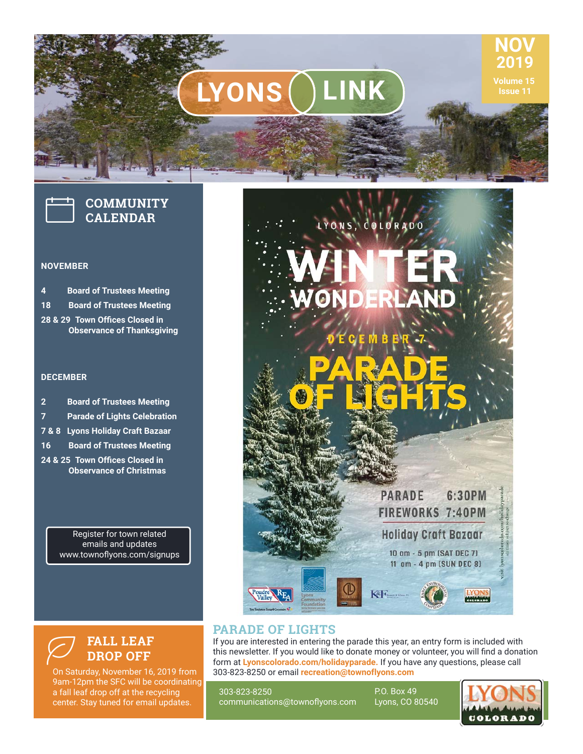# **LYONS** LINK ISSUE 11



#### **NOVEMBER**

**4 Board of Trustees Meeting 18 Board of Trustees Meeting 28 & 29 Town Offices Closed in Observance of Thanksgiving**

#### **DECEMBER**

| $\overline{2}$ | <b>Board of Trustees Meeting</b> |
|----------------|----------------------------------|
|----------------|----------------------------------|

- **7 Parade of Lights Celebration**
- **7 & 8 Lyons Holiday Craft Bazaar**
- **16 Board of Trustees Meeting**
- 24 & 25 Town Offices Closed in **Observance of Christmas**

Register for town related emails and updates www.townoflyons.com/signups



LYONS, COLORADO

### **PARADE OF LIGHTS**

If you are interested in entering the parade this year, an entry form is included with this newsletter. If you would like to donate money or volunteer, you will find a donation form at **Lyonscolorado.com/holidayparade.** If you have any questions, please call 303‐823‐8250 or email **recreation@townoflyons.com**

303-823-8250 communications@townoflyons.com P.O. Box 49 Lyons, CO 80540



**NOV 2019**

**FALL LEAF DROP OFF**  $\varnothing$ 

On Saturday, November 16, 2019 from 9am-12pm the SFC will be coordinating a fall leaf drop off at the recycling center. Stay tuned for email updates.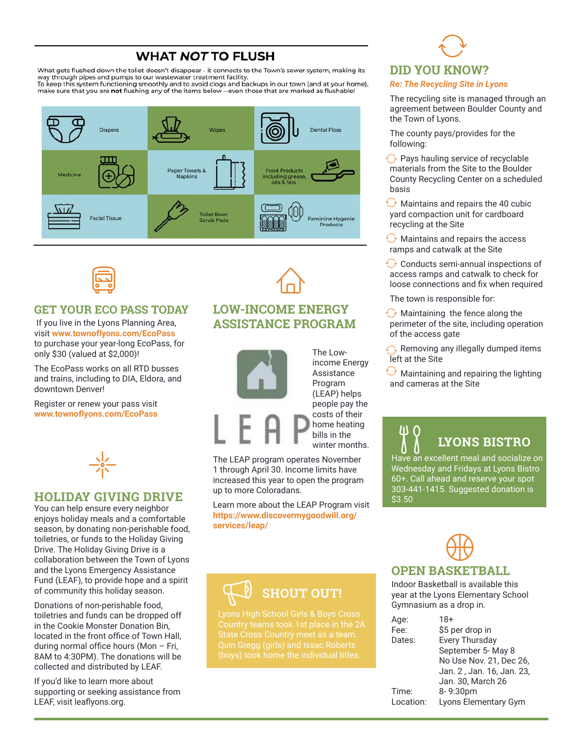# **WHAT NOT TO FLUSH**

What gets flushed down the toliet doesn't disappear - it connects to the Town's sewer system, making its way through pipes and pumps to our wastewater treatment facility.<br>To keep this system functioning smoothly and to avoid clogs and backups in our town (and at your home), make sure that you are not flushing any of the items below --even those that are marked as flushable!





### **GET YOUR ECO PASS TODAY**

 If you live in the Lyons Planning Area, visit **www.townoflyons.com/EcoPass**  to purchase your year-long EcoPass, for only \$30 (valued at \$2,000)!

The EcoPass works on all RTD busses and trains, including to DIA, Eldora, and downtown Denver!

Register or renew your pass visit **www.townoflyons.com/EcoPass**



#### **HOLIDAY GIVING DRIVE**

You can help ensure every neighbor enjoys holiday meals and a comfortable season, by donating non-perishable food, toiletries, or funds to the Holiday Giving Drive. The Holiday Giving Drive is a collaboration between the Town of Lyons and the Lyons Emergency Assistance Fund (LEAF), to provide hope and a spirit of community this holiday season.

Donations of non-perishable food, toiletries and funds can be dropped off in the Cookie Monster Donation Bin, located in the front office of Town Hall. during normal office hours (Mon  $-$  Fri, 8AM to 4:30PM). The donations will be collected and distributed by LEAF.

If you'd like to learn more about supporting or seeking assistance from LEAF, visit leaflyons.org.

# **LOW-INCOME ENERGY ASSISTANCE PROGRAM**

 $\widehat{\mathbb{D}}$ 



The Lowincome Energy Assistance Program (LEAP) helps people pay the costs of their home heating bills in the winter months.

The LEAP program operates November 1 through April 30. Income limits have increased this year to open the program up to more Coloradans.

Learn more about the LEAP Program visit **https://www.discovermygoodwill.org/ services/leap/**

# **SHOUT OUT!**

Country teams took 1st place in the 2A Quin Gregg (girls) and Issac Roberts

## **DID YOU KNOW?**

#### *Re: The Recycling Site in Lyons*

 $\bigodot$ 

The recycling site is managed through an agreement between Boulder County and the Town of Lyons.

The county pays/provides for the following:

 $\odot$  Pays hauling service of recyclable materials from the Site to the Boulder County Recycling Center on a scheduled basis

 $\bigodot$  Maintains and repairs the 40 cubic yard compaction unit for cardboard recycling at the Site

Maintains and repairs the access ramps and catwalk at the Site

Conducts semi-annual inspections of access ramps and catwalk to check for loose connections and fix when required

The town is responsible for:

 $\bigodot$  Maintaining the fence along the perimeter of the site, including operation of the access gate

 $\odot$  Removing any illegally dumped items left at the Site

 $\bigodot$  Maintaining and repairing the lighting and cameras at the Site

# **LYONS BISTRO**

Have an excellent meal and socialize on Wednesday and Fridays at Lyons Bistro 60+. Call ahead and reserve your spot 303-441-1415. Suggested donation is \$3.50

# **OPEN BASKETBALL**  $\bigoplus$

Indoor Basketball is available this year at the Lyons Elementary School Gymnasium as a drop in.

| Age:      | $18+$                     |
|-----------|---------------------------|
| Fee:      | \$5 per drop in           |
| Dates:    | <b>Every Thursday</b>     |
|           | September 5- May 8        |
|           | No Use Nov. 21, Dec 26,   |
|           | Jan. 2, Jan. 16, Jan. 23, |
|           | Jan. 30, March 26         |
| Time:     | 8-9:30pm                  |
| Location: | Lyons Elementary Gym      |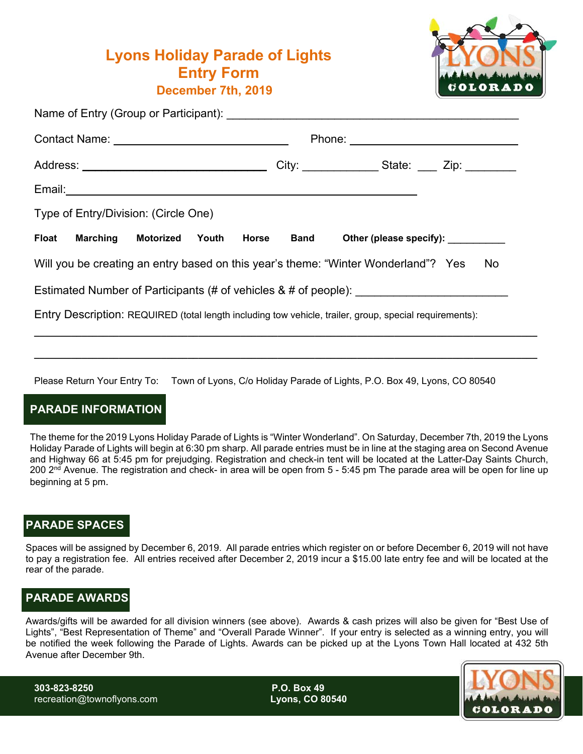# **Lyons Holiday Parade of Lights Entry Form December 7th, 2019**



|  |                       |                                                                                                         |       |       |  |  |  | City: _________________State: _____ Zip: __________                                     |
|--|-----------------------|---------------------------------------------------------------------------------------------------------|-------|-------|--|--|--|-----------------------------------------------------------------------------------------|
|  |                       |                                                                                                         |       |       |  |  |  |                                                                                         |
|  |                       | Type of Entry/Division: (Circle One)                                                                    |       |       |  |  |  |                                                                                         |
|  | <b>Float</b> Marching | Motorized                                                                                               | Youth | Horse |  |  |  | Band Other (please specify):                                                            |
|  |                       | Will you be creating an entry based on this year's theme: "Winter Wonderland"? Yes                      |       |       |  |  |  | No                                                                                      |
|  |                       |                                                                                                         |       |       |  |  |  | Estimated Number of Participants (# of vehicles & # of people): _______________________ |
|  |                       | Entry Description: REQUIRED (total length including tow vehicle, trailer, group, special requirements): |       |       |  |  |  |                                                                                         |
|  |                       |                                                                                                         |       |       |  |  |  |                                                                                         |

Please Return Your Entry To: Town of Lyons, C/o Holiday Parade of Lights, P.O. Box 49, Lyons, CO 80540

### **PARADE INFORMATION**

The theme for the 2019 Lyons Holiday Parade of Lights is "Winter Wonderland". On Saturday, December 7th, 2019 the Lyons Holiday Parade of Lights will begin at 6:30 pm sharp. All parade entries must be in line at the staging area on Second Avenue and Highway 66 at 5:45 pm for prejudging. Registration and check-in tent will be located at the Latter-Day Saints Church,  $200$   $2<sup>nd</sup>$  Avenue. The registration and check- in area will be open from 5 - 5:45 pm The parade area will be open for line up beginning at 5 pm.

**\_\_\_\_\_\_\_\_\_\_\_\_\_\_\_\_\_\_\_\_\_\_\_\_\_\_\_\_\_\_\_\_\_\_\_\_\_\_\_\_\_\_\_\_\_\_\_\_\_\_\_\_\_\_\_\_\_\_\_\_\_\_\_\_\_\_\_\_\_\_\_\_\_\_\_\_\_\_\_\_\_\_\_\_\_\_\_\_\_\_\_\_\_\_\_** 

### **PARADE SPACES**

Spaces will be assigned by December 6, 2019. All parade entries which register on or before December 6, 2019 will not have to pay a registration fee. All entries received after December 2, 2019 incur a \$15.00 late entry fee and will be located at the rear of the parade.

### **PARADE AWARDS**

Awards/gifts will be awarded for all division winners (see above). Awards & cash prizes will also be given for "Best Use of Lights", "Best Representation of Theme" and "Overall Parade Winner". If your entry is selected as a winning entry, you will be notified the week following the Parade of Lights. Awards can be picked up at the Lyons Town Hall located at 432 5th Avenue after December 9th.

**303-823-8250 P.O. Box 49** recreation@townoflyons.com **Lyons, CO 80540**

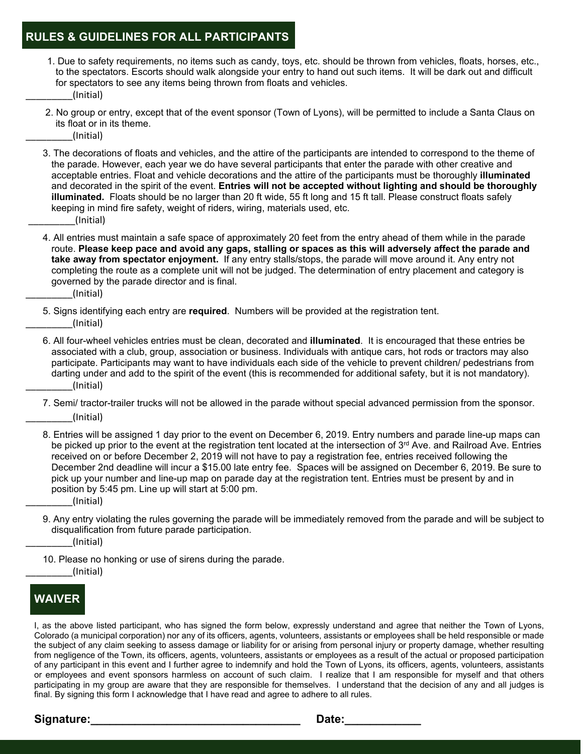### **RULES & GUIDELINES FOR ALL PARTICIPANTS**

- 1. Due to safety requirements, no items such as candy, toys, etc. should be thrown from vehicles, floats, horses, etc., to the spectators. Escorts should walk alongside your entry to hand out such items. It will be dark out and difficult for spectators to see any items being thrown from floats and vehicles. \_\_\_\_\_\_\_\_\_(Initial)
- 2. No group or entry, except that of the event sponsor (Town of Lyons), will be permitted to include a Santa Claus on its float or in its theme.
	- \_\_\_\_\_\_\_\_\_(Initial)
- 3. The decorations of floats and vehicles, and the attire of the participants are intended to correspond to the theme of the parade. However, each year we do have several participants that enter the parade with other creative and acceptable entries. Float and vehicle decorations and the attire of the participants must be thoroughly **illuminated** and decorated in the spirit of the event. **Entries will not be accepted without lighting and should be thoroughly illuminated.** Floats should be no larger than 20 ft wide, 55 ft long and 15 ft tall. Please construct floats safely keeping in mind fire safety, weight of riders, wiring, materials used, etc. \_\_\_\_\_\_\_\_\_(Initial)
- 4. All entries must maintain a safe space of approximately 20 feet from the entry ahead of them while in the parade route. **Please keep pace and avoid any gaps, stalling or spaces as this will adversely affect the parade and take away from spectator enjoyment.** If any entry stalls/stops, the parade will move around it. Any entry not completing the route as a complete unit will not be judged. The determination of entry placement and category is governed by the parade director and is final.
	- \_\_\_\_\_\_\_\_\_(Initial)
- 5. Signs identifying each entry are **required**. Numbers will be provided at the registration tent. \_\_\_\_\_\_\_\_\_(Initial)
- 6. All four-wheel vehicles entries must be clean, decorated and **illuminated**. It is encouraged that these entries be associated with a club, group, association or business. Individuals with antique cars, hot rods or tractors may also participate. Participants may want to have individuals each side of the vehicle to prevent children/ pedestrians from darting under and add to the spirit of the event (this is recommended for additional safety, but it is not mandatory). \_\_\_\_\_\_\_\_\_(Initial)
- 7. Semi/ tractor-trailer trucks will not be allowed in the parade without special advanced permission from the sponsor. \_\_\_\_\_\_\_\_\_(Initial)
- 8. Entries will be assigned 1 day prior to the event on December 6, 2019. Entry numbers and parade line-up maps can be picked up prior to the event at the registration tent located at the intersection of  $3<sup>rd</sup>$  Ave. and Railroad Ave. Entries received on or before December 2, 2019 will not have to pay a registration fee, entries received following the December 2nd deadline will incur a \$15.00 late entry fee. Spaces will be assigned on December 6, 2019. Be sure to pick up your number and line-up map on parade day at the registration tent. Entries must be present by and in position by 5:45 pm. Line up will start at 5:00 pm.
	- \_\_\_\_\_\_\_\_\_(Initial)
- 9. Any entry violating the rules governing the parade will be immediately removed from the parade and will be subject to disqualification from future parade participation.

\_\_\_\_\_\_\_\_\_(Initial)

10. Please no honking or use of sirens during the parade. \_\_\_\_\_\_\_\_\_(Initial)

### **WAIVER**

 I, as the above listed participant, who has signed the form below, expressly understand and agree that neither the Town of Lyons, Colorado (a municipal corporation) nor any of its officers, agents, volunteers, assistants or employees shall be held responsible or made the subject of any claim seeking to assess damage or liability for or arising from personal injury or property damage, whether resulting from negligence of the Town, its officers, agents, volunteers, assistants or employees as a result of the actual or proposed participation of any participant in this event and I further agree to indemnify and hold the Town of Lyons, its officers, agents, volunteers, assistants or employees and event sponsors harmless on account of such claim. I realize that I am responsible for myself and that others participating in my group are aware that they are responsible for themselves. I understand that the decision of any and all judges is final. By signing this form I acknowledge that I have read and agree to adhere to all rules.

Signature: **Contained Signature: Contained Signature: Date: Contained Signature: Contained Signature: Contained Signature: Contained Signature: Contained Signature: Contained Signature: Contained Signatur**